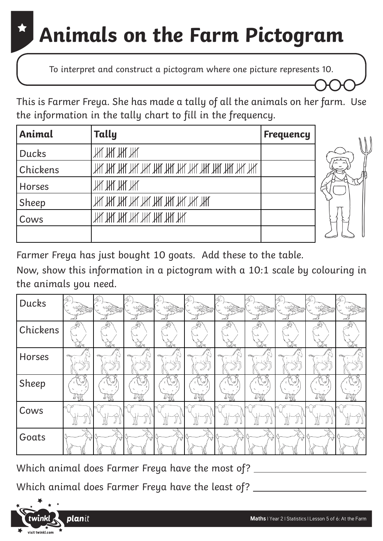### **Animals on the Farm Pictogram**

To interpret and construct a pictogram where one picture represents 10.

This is Farmer Freya. She has made a tally of all the animals on her farm. Use the information in the tally chart to fill in the frequency.

| Animal        | Tally                               | <b>Frequency</b> |  |
|---------------|-------------------------------------|------------------|--|
| <b>Ducks</b>  | Ж Ж Ж Ж                             |                  |  |
| Chickens      |                                     |                  |  |
| <b>Horses</b> | Ж Ж Ж Ж                             |                  |  |
| Sheep         | THL THL THL THL THL THL THL THL THL |                  |  |
| Cows          | АН, АН, АН, ҮН, ҮН, ҮН, ҮН, ҮН,     |                  |  |
|               |                                     |                  |  |



Now, show this information in a pictogram with a 10:1 scale by colouring in the animals you need.

| Ducks    | Á.                            |                     |                  |                                       |                |                      |                             |             |               |     |
|----------|-------------------------------|---------------------|------------------|---------------------------------------|----------------|----------------------|-----------------------------|-------------|---------------|-----|
| Chickens | €<br>S.                       | €<br>$A$ 2          | E<br>SS          | 43<br>$\mathbb{Z}$                    | E<br>43        | €<br>$\mathbb{Z}$    | €<br>S 2                    | €           | 43<br>33      |     |
| Horses   |                               |                     |                  |                                       |                |                      |                             |             |               |     |
| Sheep    | $\checkmark$<br>أحماها<br>496 | کیا<br>اربعا<br>RAR | V<br>ru .<br>440 | $\check{8}$<br>۔ سما<br>$\frac{1}{2}$ | رگيليا<br>ITIK | سا<br>آ دراما<br>ITY | ∖ ≌<br>س<br>العامل<br>TITT. | درون<br>496 | وربادا<br>496 | 440 |
| Cows     | ₽ij                           | DД                  |                  | ₽B                                    | ₩              | ÐД                   | ₽₩                          | BД          |               |     |
| Goats    |                               | $\triangledown$     |                  | ٣Î                                    | کا چہ          | $\pi^*$              |                             | $\sigma$    |               |     |

Which animal does Farmer Freya have the most of?

Which animal does Farmer Freya have the least of?

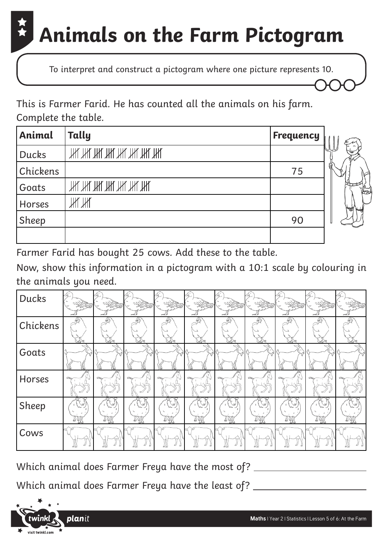### **Animals on the Farm Pictogram**

To interpret and construct a pictogram where one picture represents 10.

This is Farmer Farid. He has counted all the animals on his farm. Complete the table.

| Animal       | Tally                   | Frequency |    |
|--------------|-------------------------|-----------|----|
| <b>Ducks</b> | ТАҚ ТАҚ ТАҚ ТАҚ ТАҚ ТАҚ |           |    |
| Chickens     |                         | 75        | g, |
| Goats        | ТАҚ ТАҚ ТАҚ ТАҚ ТАҚ ТАҚ |           |    |
| Horses       | Ж Ж                     |           |    |
| Sheep        |                         | 90        |    |
|              |                         |           |    |

Farmer Farid has bought 25 cows. Add these to the table.

Now, show this information in a pictogram with a 10:1 scale by colouring in the animals you need.

| Ducks    | Á.         |           | فبصير           | $\epsilon$ |          |         |                           | راد | $\epsilon$ |  |
|----------|------------|-----------|-----------------|------------|----------|---------|---------------------------|-----|------------|--|
| Chickens | 43         | 43        | 43              | 43         | 43       | €       | €                         | 6   |            |  |
| Goats    |            |           |                 |            |          | īΖ      |                           |     |            |  |
| Horses   | JCK)       |           | 10.XI           |            | 10.XI    | MW)     | MW)                       | KW) |            |  |
| Sheep    | V<br>4 Y ( | ∖У<br>496 | ∖¥<br>w.<br>491 | V          | V<br>491 | V<br>Ty | $\vee$<br>.<br>سعا<br>496 |     | 496        |  |
| Cows     |            |           |                 |            |          |         |                           |     |            |  |

Which animal does Farmer Freya have the most of?

Which animal does Farmer Freya have the least of?

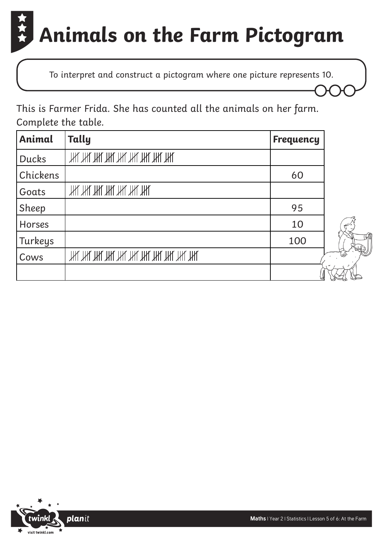## **Animals on the Farm Pictogram**

To interpret and construct a pictogram where one picture represents 10.

This is Farmer Frida. She has counted all the animals on her farm. Complete the table.

| Animal        | Tally                               | <b>Frequency</b> |
|---------------|-------------------------------------|------------------|
| <b>Ducks</b>  | ТАҚ ТАҚ ТАҚ ТАҚ ТАҚ ТАҚ ТАҚ         |                  |
| Chickens      |                                     | 60               |
| Goats         | ЖИГИГИГИГИГИГ                       |                  |
| Sheep         |                                     | 95               |
| <b>Horses</b> |                                     | 10               |
| Turkeys       |                                     | 100              |
| Cows          | THL THL THL THL THL THL THL THL THL |                  |
|               |                                     |                  |

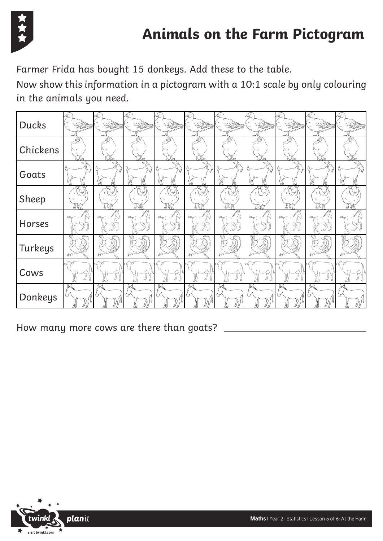

Farmer Frida has bought 15 donkeys. Add these to the table.

Now show this information in a pictogram with a 10:1 scale by only colouring in the animals you need.

| <b>Ducks</b> | Ą.                            | <b>REGISTER</b> |            |                        |              |                               |            |            |                         |     |
|--------------|-------------------------------|-----------------|------------|------------------------|--------------|-------------------------------|------------|------------|-------------------------|-----|
| Chickens     | Ģ<br>$\overline{\phantom{0}}$ | Ç               | 43         | 43                     | Ģ            | G                             | 43         | Ç          | 43                      |     |
| Goats        | $\triangledown$               |                 |            | で                      | τŹ           |                               | $\bar{V}$  |            |                         |     |
| Sheep        | کیا<br>ITT                    | ∖ ⊗<br>ITY      | V<br>ITIT  | V<br>ITY               | ITIT         | $\check{\mathscr{C}}$<br>IJij | !Tat       | Ty         | 490                     | Ity |
| Horses       |                               |                 |            |                        |              |                               |            |            |                         |     |
| Turkeys      | $\sqrt{2}$                    | $\mathbb{Z}$    | $\sqrt{r}$ | $\widehat{\mathbb{C}}$ | $\mathbb{Z}$ | $\widehat{\mathbb{C}}$        | $\sqrt{m}$ | $\sqrt{2}$ | $\widehat{\mathscr{C}}$ | or  |
| Cows         |                               |                 |            |                        |              |                               |            |            | BД                      |     |
| Donkeys      | IV.                           |                 |            |                        |              |                               |            |            |                         |     |

How many more cows are there than goats?

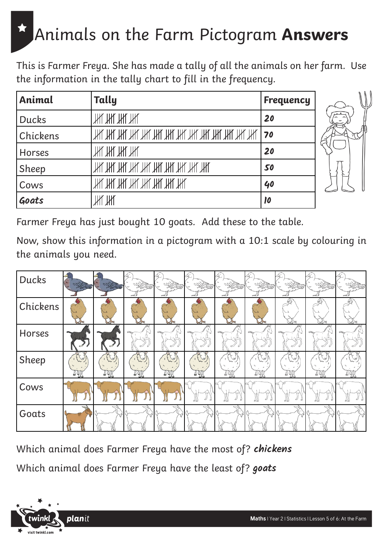#### Animals on the Farm Pictogram **Answers**

This is Farmer Freya. She has made a tally of all the animals on her farm. Use the information in the tally chart to fill in the frequency.

| Animal       | Tally                           | <b>Frequency</b>           |  |
|--------------|---------------------------------|----------------------------|--|
| <b>Ducks</b> | . Ж. Ж. Ж. Ж.                   | 20                         |  |
| Chickens     |                                 | 70                         |  |
| Horses       | Ж Ж Ж Ж                         | 20                         |  |
| Sheep        | ТАҚ ТАҚ ТАҚ ТАҚ ТАҚ ТАҚ ТАҚ ТАҚ | 50                         |  |
| Cows         | ТАҚ ТАҚ ТАҚ ТАҚ ТАҚ ТАҚ         | 40                         |  |
| Goats        | ИҮ ИҮ                           | $\boldsymbol{\mathsf{10}}$ |  |



Farmer Freya has just bought 10 goats. Add these to the table.

Now, show this information in a pictogram with a 10:1 scale by colouring in the animals you need.

| Ducks    |             |           |     |          |             |                       |     |       |      |     |
|----------|-------------|-----------|-----|----------|-------------|-----------------------|-----|-------|------|-----|
| Chickens |             |           |     | $\sim$   |             |                       |     | 43    | 43   |     |
| Horses   |             |           |     |          |             |                       |     |       |      |     |
| Sheep    | <b>TAIR</b> | 13<br>Tyy | Tyy | B<br>720 | <b>TATE</b> | ا این<br>محمد<br>ITIL | 4 Y | 4 Y V | 4911 | 494 |
| Cows     |             |           |     |          | ₽₽          | DД                    | ₽₩  | ΒН    |      |     |
| Goats    |             |           |     |          |             | $\tau$                |     |       |      |     |

Which animal does Farmer Freya have the most of? **chickens** Which animal does Farmer Freya have the least of? **goats**

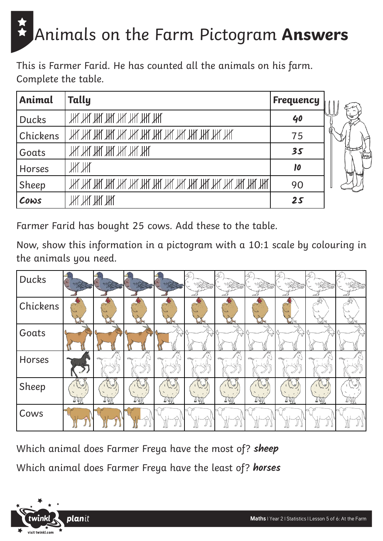# Animals on the Farm Pictogram **Answers**

This is Farmer Farid. He has counted all the animals on his farm. Complete the table.

| Animal        | Tally                          | Frequency                               |    |
|---------------|--------------------------------|-----------------------------------------|----|
| <b>Ducks</b>  | ТАҚ ТАҚ ТАҚ ТАҚ ТАҚ ТАҚ ТАҚ    | 40                                      |    |
| Chickens      |                                | 75                                      | a. |
| Goats         | <u>ТАҚ ТАҚ ТАҚ ТАҚ ТАҚ ТАҚ</u> | 35                                      |    |
| <b>Horses</b> | Ж Ж                            | $\boldsymbol{\mathsf{I}}\boldsymbol{o}$ | 高  |
| Sheep         |                                | 90                                      |    |
| Cows          | Ж Ж Ж Ж                        | 25                                      |    |

Farmer Farid has bought 25 cows. Add these to the table.

Now, show this information in a pictogram with a 10:1 scale by colouring in the animals you need.

| Ducks    |                 |           |                              |                     |           |          |   |   |   |  |
|----------|-----------------|-----------|------------------------------|---------------------|-----------|----------|---|---|---|--|
| Chickens |                 |           |                              |                     |           |          |   |   | € |  |
| Goats    |                 |           |                              | τř                  |           |          |   |   |   |  |
| Horses   |                 |           |                              |                     | ЮS        |          |   |   |   |  |
| Sheep    | B<br><b>JAT</b> | 13<br>Tyy | $\mathbb{Z}$<br>يبند<br>I 40 | B<br>فعنعا<br>$L_2$ | B<br>44 U | B<br>Tyl | A | B |   |  |
| Cows     |                 |           |                              |                     |           |          |   |   |   |  |

Which animal does Farmer Freya have the most of? **sheep** Which animal does Farmer Freya have the least of? **horses**